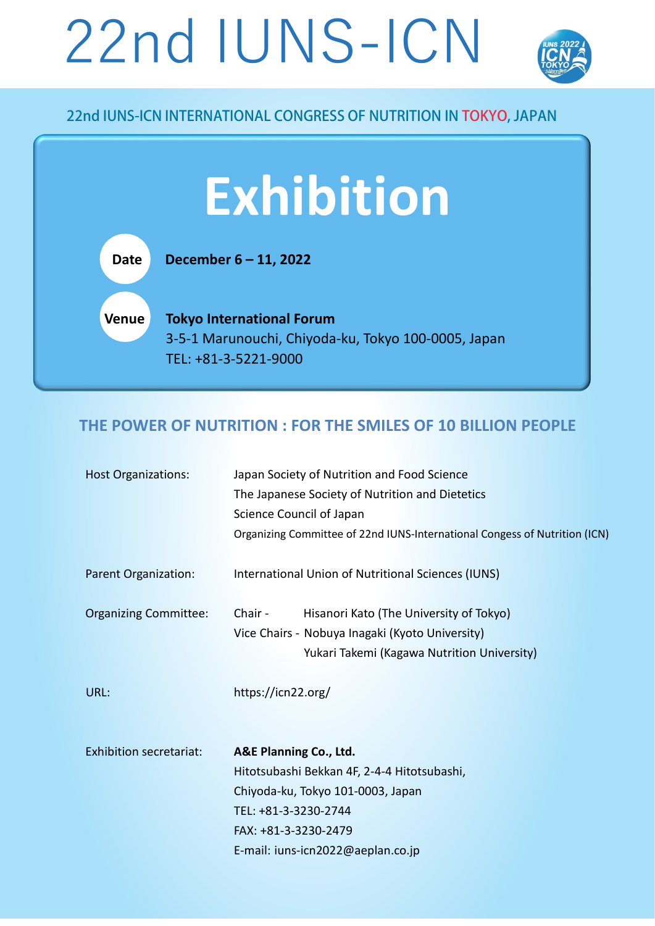# 22nd IUNS-ICN



## 22nd IUNS-ICN INTERNATIONAL CONGRESS OF NUTRITION IN TOKYO, JAPAN

## **Exhibition**

**Date December 6 – 11, 2022**

**Venue Tokyo International Forum** 3-5-1 Marunouchi, Chiyoda-ku, Tokyo 100-0005, Japan TEL: +81-3-5221-9000

## **THE POWER OF NUTRITION : FOR THE SMILES OF 10 BILLION PEOPLE**

| <b>Host Organizations:</b>     | Japan Society of Nutrition and Food Science                                |  |  |
|--------------------------------|----------------------------------------------------------------------------|--|--|
|                                | The Japanese Society of Nutrition and Dietetics                            |  |  |
|                                | Science Council of Japan                                                   |  |  |
|                                | Organizing Committee of 22nd IUNS-International Congess of Nutrition (ICN) |  |  |
| Parent Organization:           | International Union of Nutritional Sciences (IUNS)                         |  |  |
| <b>Organizing Committee:</b>   | Chair -<br>Hisanori Kato (The University of Tokyo)                         |  |  |
|                                | Vice Chairs - Nobuya Inagaki (Kyoto University)                            |  |  |
|                                | Yukari Takemi (Kagawa Nutrition University)                                |  |  |
| URL:                           | https://icn22.org/                                                         |  |  |
| <b>Exhibition secretariat:</b> | A&E Planning Co., Ltd.                                                     |  |  |
|                                | Hitotsubashi Bekkan 4F, 2-4-4 Hitotsubashi,                                |  |  |
|                                | Chiyoda-ku, Tokyo 101-0003, Japan                                          |  |  |
|                                | TEL: +81-3-3230-2744                                                       |  |  |
|                                | FAX: +81-3-3230-2479                                                       |  |  |
|                                | E-mail: iuns-icn2022@aeplan.co.jp                                          |  |  |
|                                |                                                                            |  |  |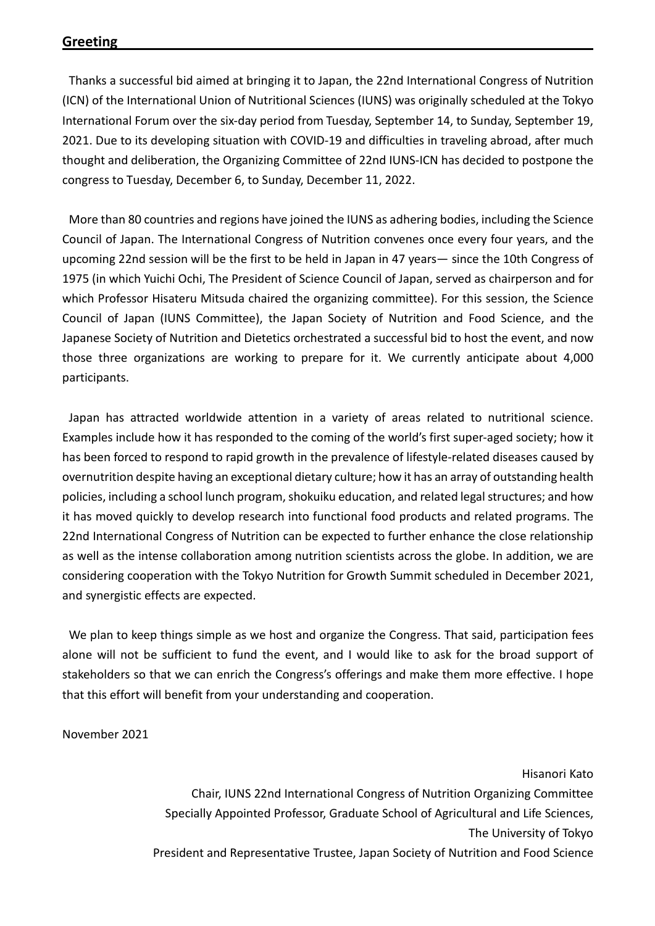Thanks a successful bid aimed at bringing it to Japan, the 22nd International Congress of Nutrition (ICN) of the International Union of Nutritional Sciences (IUNS) was originally scheduled at the Tokyo International Forum over the six-day period from Tuesday, September 14, to Sunday, September 19, 2021. Due to its developing situation with COVID-19 and difficulties in traveling abroad, after much thought and deliberation, the Organizing Committee of 22nd IUNS-ICN has decided to postpone the congress to Tuesday, December 6, to Sunday, December 11, 2022.

More than 80 countries and regions have joined the IUNS as adhering bodies, including the Science Council of Japan. The International Congress of Nutrition convenes once every four years, and the upcoming 22nd session will be the first to be held in Japan in 47 years— since the 10th Congress of 1975 (in which Yuichi Ochi, The President of Science Council of Japan, served as chairperson and for which Professor Hisateru Mitsuda chaired the organizing committee). For this session, the Science Council of Japan (IUNS Committee), the Japan Society of Nutrition and Food Science, and the Japanese Society of Nutrition and Dietetics orchestrated a successful bid to host the event, and now those three organizations are working to prepare for it. We currently anticipate about 4,000 participants.

Japan has attracted worldwide attention in a variety of areas related to nutritional science. Examples include how it has responded to the coming of the world's first super-aged society; how it has been forced to respond to rapid growth in the prevalence of lifestyle-related diseases caused by overnutrition despite having an exceptional dietary culture; how it has an array of outstanding health policies, including a school lunch program, shokuiku education, and related legal structures; and how it has moved quickly to develop research into functional food products and related programs. The 22nd International Congress of Nutrition can be expected to further enhance the close relationship as well as the intense collaboration among nutrition scientists across the globe. In addition, we are considering cooperation with the Tokyo Nutrition for Growth Summit scheduled in December 2021, and synergistic effects are expected.

We plan to keep things simple as we host and organize the Congress. That said, participation fees alone will not be sufficient to fund the event, and I would like to ask for the broad support of stakeholders so that we can enrich the Congress's offerings and make them more effective. I hope that this effort will benefit from your understanding and cooperation.

November 2021

Hisanori Kato Chair, IUNS 22nd International Congress of Nutrition Organizing Committee Specially Appointed Professor, Graduate School of Agricultural and Life Sciences, The University of Tokyo President and Representative Trustee, Japan Society of Nutrition and Food Science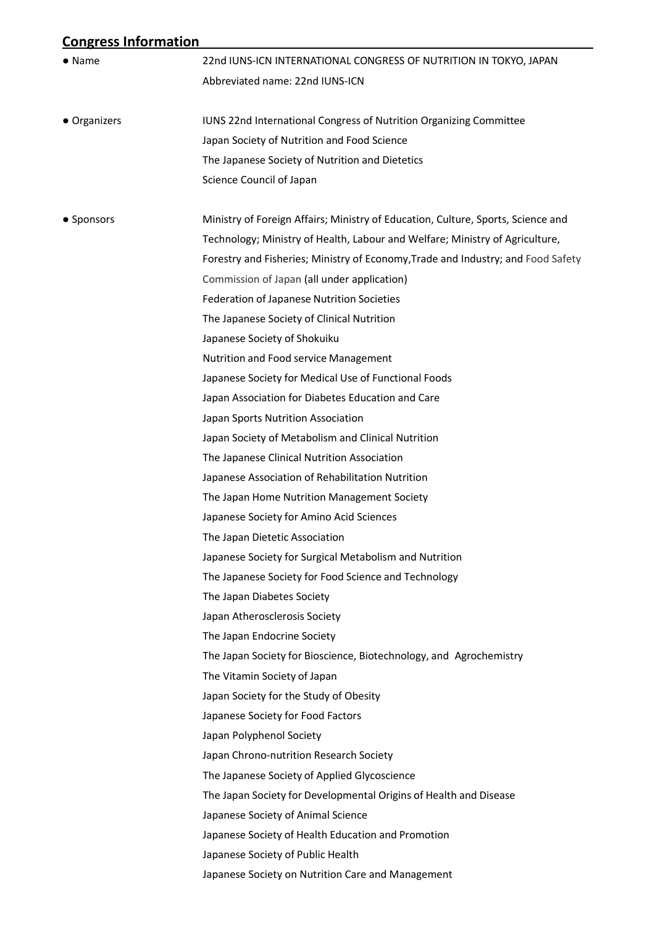## **Congress Information**

| $\bullet$ Name | 22nd IUNS-ICN INTERNATIONAL CONGRESS OF NUTRITION IN TOKYO, JAPAN                |  |  |
|----------------|----------------------------------------------------------------------------------|--|--|
|                | Abbreviated name: 22nd IUNS-ICN                                                  |  |  |
| • Organizers   | IUNS 22nd International Congress of Nutrition Organizing Committee               |  |  |
|                | Japan Society of Nutrition and Food Science                                      |  |  |
|                | The Japanese Society of Nutrition and Dietetics                                  |  |  |
|                | Science Council of Japan                                                         |  |  |
| • Sponsors     | Ministry of Foreign Affairs; Ministry of Education, Culture, Sports, Science and |  |  |
|                | Technology; Ministry of Health, Labour and Welfare; Ministry of Agriculture,     |  |  |
|                | Forestry and Fisheries; Ministry of Economy, Trade and Industry; and Food Safety |  |  |
|                | Commission of Japan (all under application)                                      |  |  |
|                | Federation of Japanese Nutrition Societies                                       |  |  |
|                | The Japanese Society of Clinical Nutrition                                       |  |  |
|                | Japanese Society of Shokuiku                                                     |  |  |
|                | Nutrition and Food service Management                                            |  |  |
|                | Japanese Society for Medical Use of Functional Foods                             |  |  |
|                | Japan Association for Diabetes Education and Care                                |  |  |
|                | Japan Sports Nutrition Association                                               |  |  |
|                | Japan Society of Metabolism and Clinical Nutrition                               |  |  |
|                | The Japanese Clinical Nutrition Association                                      |  |  |
|                | Japanese Association of Rehabilitation Nutrition                                 |  |  |
|                | The Japan Home Nutrition Management Society                                      |  |  |
|                | Japanese Society for Amino Acid Sciences                                         |  |  |
|                | The Japan Dietetic Association                                                   |  |  |
|                | Japanese Society for Surgical Metabolism and Nutrition                           |  |  |
|                | The Japanese Society for Food Science and Technology                             |  |  |
|                | The Japan Diabetes Society                                                       |  |  |
|                | Japan Atherosclerosis Society                                                    |  |  |
|                | The Japan Endocrine Society                                                      |  |  |
|                | The Japan Society for Bioscience, Biotechnology, and Agrochemistry               |  |  |
|                | The Vitamin Society of Japan                                                     |  |  |
|                | Japan Society for the Study of Obesity                                           |  |  |
|                | Japanese Society for Food Factors                                                |  |  |
|                | Japan Polyphenol Society                                                         |  |  |
|                | Japan Chrono-nutrition Research Society                                          |  |  |
|                | The Japanese Society of Applied Glycoscience                                     |  |  |
|                | The Japan Society for Developmental Origins of Health and Disease                |  |  |
|                | Japanese Society of Animal Science                                               |  |  |
|                | Japanese Society of Health Education and Promotion                               |  |  |
|                | Japanese Society of Public Health                                                |  |  |
|                | Japanese Society on Nutrition Care and Management                                |  |  |
|                |                                                                                  |  |  |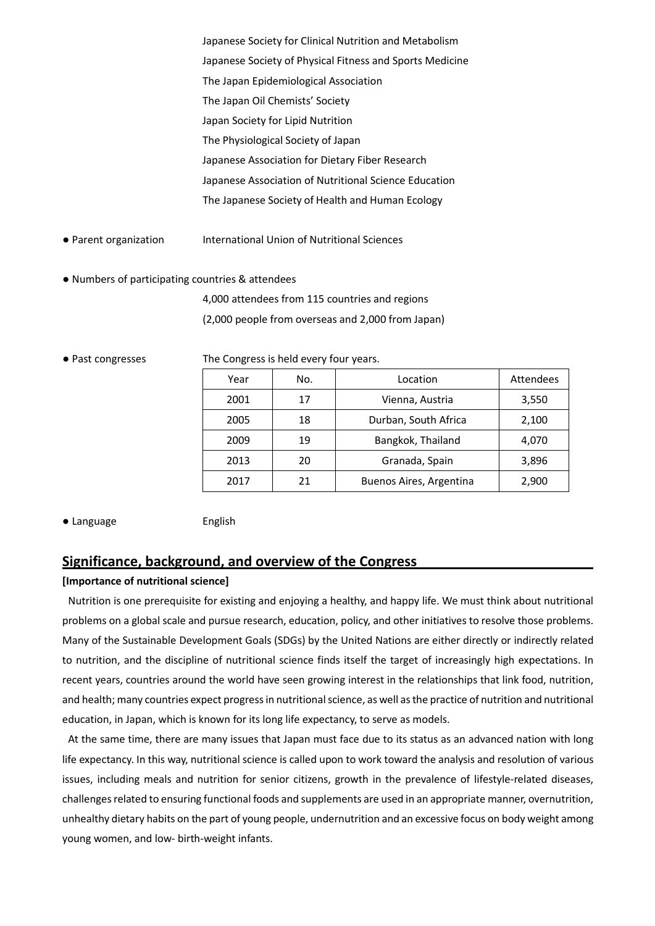Japanese Society for Clinical Nutrition and Metabolism Japanese Society of Physical Fitness and Sports Medicine The Japan Epidemiological Association The Japan Oil Chemists' Society Japan Society for Lipid Nutrition The Physiological Society of Japan Japanese Association for Dietary Fiber Research Japanese Association of Nutritional Science Education The Japanese Society of Health and Human Ecology

- Parent organization International Union of Nutritional Sciences
- Numbers of participating countries & attendees

4,000 attendees from 115 countries and regions (2,000 people from overseas and 2,000 from Japan)

● Past congresses The Congress is held every four years.

| Year | No. | Location                | Attendees |
|------|-----|-------------------------|-----------|
| 2001 | 17  | Vienna, Austria         | 3,550     |
| 2005 | 18  | Durban, South Africa    | 2,100     |
| 2009 | 19  | Bangkok, Thailand       | 4,070     |
| 2013 | 20  | Granada, Spain          | 3,896     |
| 2017 | 21  | Buenos Aires, Argentina | 2,900     |

● Language **English** 

#### **Significance, background, and overview of the Congress**

#### **[Importance of nutritional science]**

Nutrition is one prerequisite for existing and enjoying a healthy, and happy life. We must think about nutritional problems on a global scale and pursue research, education, policy, and other initiatives to resolve those problems. Many of the Sustainable Development Goals (SDGs) by the United Nations are either directly or indirectly related to nutrition, and the discipline of nutritional science finds itself the target of increasingly high expectations. In recent years, countries around the world have seen growing interest in the relationships that link food, nutrition, and health; many countries expect progress in nutritional science, as well as the practice of nutrition and nutritional education, in Japan, which is known for its long life expectancy, to serve as models.

At the same time, there are many issues that Japan must face due to its status as an advanced nation with long life expectancy. In this way, nutritional science is called upon to work toward the analysis and resolution of various issues, including meals and nutrition for senior citizens, growth in the prevalence of lifestyle-related diseases, challenges related to ensuring functional foods and supplements are used in an appropriate manner, overnutrition, unhealthy dietary habits on the part of young people, undernutrition and an excessive focus on body weight among young women, and low- birth-weight infants.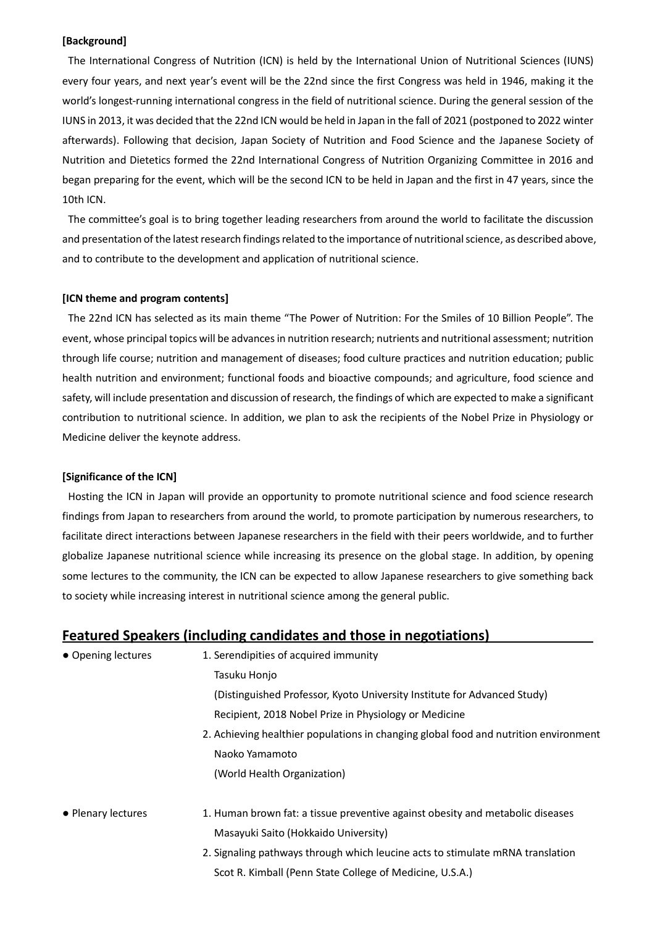#### **[Background]**

The International Congress of Nutrition (ICN) is held by the International Union of Nutritional Sciences (IUNS) every four years, and next year's event will be the 22nd since the first Congress was held in 1946, making it the world's longest-running international congress in the field of nutritional science. During the general session of the IUNS in 2013, it was decided that the 22nd ICN would be held in Japan in the fall of 2021 (postponed to 2022 winter afterwards). Following that decision, Japan Society of Nutrition and Food Science and the Japanese Society of Nutrition and Dietetics formed the 22nd International Congress of Nutrition Organizing Committee in 2016 and began preparing for the event, which will be the second ICN to be held in Japan and the first in 47 years, since the 10th ICN.

The committee's goal is to bring together leading researchers from around the world to facilitate the discussion and presentation of the latest research findings related to the importance of nutritional science, as described above, and to contribute to the development and application of nutritional science.

#### **[ICN theme and program contents]**

The 22nd ICN has selected as its main theme "The Power of Nutrition: For the Smiles of 10 Billion People". The event, whose principal topics will be advances in nutrition research; nutrients and nutritional assessment; nutrition through life course; nutrition and management of diseases; food culture practices and nutrition education; public health nutrition and environment; functional foods and bioactive compounds; and agriculture, food science and safety, will include presentation and discussion of research, the findings of which are expected to make a significant contribution to nutritional science. In addition, we plan to ask the recipients of the Nobel Prize in Physiology or Medicine deliver the keynote address.

#### **[Significance of the ICN]**

Hosting the ICN in Japan will provide an opportunity to promote nutritional science and food science research findings from Japan to researchers from around the world, to promote participation by numerous researchers, to facilitate direct interactions between Japanese researchers in the field with their peers worldwide, and to further globalize Japanese nutritional science while increasing its presence on the global stage. In addition, by opening some lectures to the community, the ICN can be expected to allow Japanese researchers to give something back to society while increasing interest in nutritional science among the general public.

#### **Featured Speakers (including candidates and those in negotiations)**

| • Opening lectures | 1. Serendipities of acquired immunity                                                |  |  |
|--------------------|--------------------------------------------------------------------------------------|--|--|
|                    | Tasuku Honjo                                                                         |  |  |
|                    | (Distinguished Professor, Kyoto University Institute for Advanced Study)             |  |  |
|                    | Recipient, 2018 Nobel Prize in Physiology or Medicine                                |  |  |
|                    | 2. Achieving healthier populations in changing global food and nutrition environment |  |  |
|                    | Naoko Yamamoto                                                                       |  |  |
|                    | (World Health Organization)                                                          |  |  |
| • Plenary lectures | 1. Human brown fat: a tissue preventive against obesity and metabolic diseases       |  |  |
|                    | Masayuki Saito (Hokkaido University)                                                 |  |  |
|                    | 2. Signaling pathways through which leucine acts to stimulate mRNA translation       |  |  |
|                    | Scot R. Kimball (Penn State College of Medicine, U.S.A.)                             |  |  |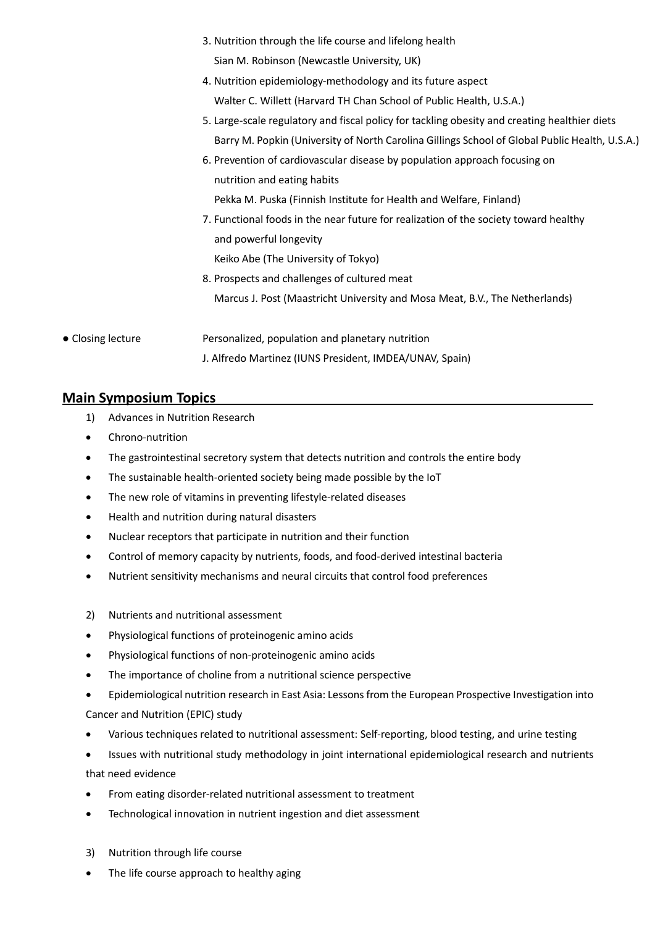- 3. Nutrition through the life course and lifelong health Sian M. Robinson (Newcastle University, UK)
- 4. Nutrition epidemiology-methodology and its future aspect Walter C. Willett (Harvard TH Chan School of Public Health, U.S.A.)
- 5. Large-scale regulatory and fiscal policy for tackling obesity and creating healthier diets Barry M. Popkin (University of North Carolina Gillings School of Global Public Health, U.S.A.)
- 6. Prevention of cardiovascular disease by population approach focusing on nutrition and eating habits

Pekka M. Puska (Finnish Institute for Health and Welfare, Finland)

- 7. Functional foods in the near future for realization of the society toward healthy and powerful longevity Keiko Abe (The University of Tokyo)
- 8. Prospects and challenges of cultured meat Marcus J. Post (Maastricht University and Mosa Meat, B.V., The Netherlands)
- Closing lecture Personalized, population and planetary nutrition J. Alfredo Martinez (IUNS President, IMDEA/UNAV, Spain)

## **Main Symposium Topics**

- 1) Advances in Nutrition Research
- Chrono-nutrition
- The gastrointestinal secretory system that detects nutrition and controls the entire body
- The sustainable health-oriented society being made possible by the IoT
- The new role of vitamins in preventing lifestyle-related diseases
- Health and nutrition during natural disasters
- Nuclear receptors that participate in nutrition and their function
- Control of memory capacity by nutrients, foods, and food-derived intestinal bacteria
- Nutrient sensitivity mechanisms and neural circuits that control food preferences
- 2) Nutrients and nutritional assessment
- Physiological functions of proteinogenic amino acids
- Physiological functions of non-proteinogenic amino acids
- The importance of choline from a nutritional science perspective
- Epidemiological nutrition research in East Asia: Lessons from the European Prospective Investigation into Cancer and Nutrition (EPIC) study
- Various techniques related to nutritional assessment: Self-reporting, blood testing, and urine testing
- Issues with nutritional study methodology in joint international epidemiological research and nutrients that need evidence
- From eating disorder-related nutritional assessment to treatment
- Technological innovation in nutrient ingestion and diet assessment
- 3) Nutrition through life course
- The life course approach to healthy aging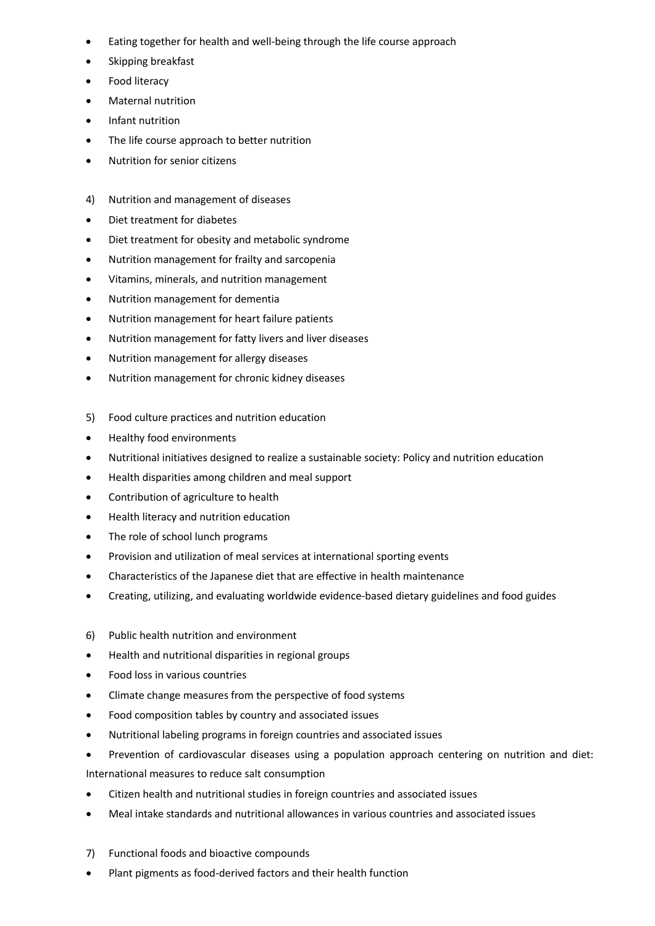- Eating together for health and well-being through the life course approach
- Skipping breakfast
- Food literacy
- Maternal nutrition
- Infant nutrition
- The life course approach to better nutrition
- Nutrition for senior citizens
- 4) Nutrition and management of diseases
- Diet treatment for diabetes
- Diet treatment for obesity and metabolic syndrome
- Nutrition management for frailty and sarcopenia
- Vitamins, minerals, and nutrition management
- Nutrition management for dementia
- Nutrition management for heart failure patients
- Nutrition management for fatty livers and liver diseases
- Nutrition management for allergy diseases
- Nutrition management for chronic kidney diseases
- 5) Food culture practices and nutrition education
- Healthy food environments
- Nutritional initiatives designed to realize a sustainable society: Policy and nutrition education
- Health disparities among children and meal support
- Contribution of agriculture to health
- Health literacy and nutrition education
- The role of school lunch programs
- Provision and utilization of meal services at international sporting events
- Characteristics of the Japanese diet that are effective in health maintenance
- Creating, utilizing, and evaluating worldwide evidence-based dietary guidelines and food guides
- 6) Public health nutrition and environment
- Health and nutritional disparities in regional groups
- Food loss in various countries
- Climate change measures from the perspective of food systems
- Food composition tables by country and associated issues
- Nutritional labeling programs in foreign countries and associated issues
- Prevention of cardiovascular diseases using a population approach centering on nutrition and diet:

International measures to reduce salt consumption

- Citizen health and nutritional studies in foreign countries and associated issues
- Meal intake standards and nutritional allowances in various countries and associated issues
- 7) Functional foods and bioactive compounds
- Plant pigments as food-derived factors and their health function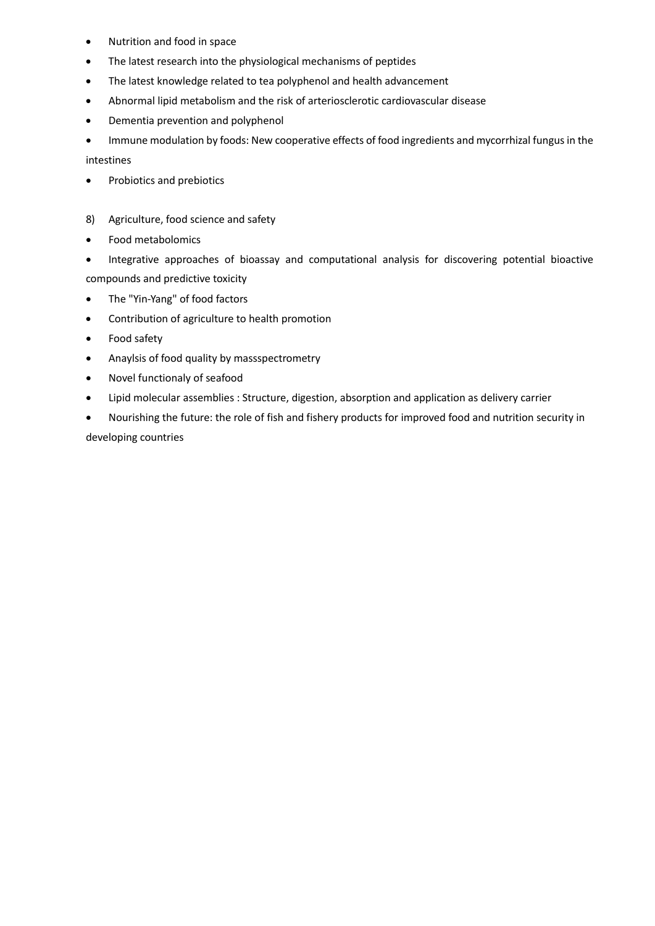- Nutrition and food in space
- The latest research into the physiological mechanisms of peptides
- The latest knowledge related to tea polyphenol and health advancement
- Abnormal lipid metabolism and the risk of arteriosclerotic cardiovascular disease
- Dementia prevention and polyphenol

• Immune modulation by foods: New cooperative effects of food ingredients and mycorrhizal fungus in the intestines

- Probiotics and prebiotics
- 8) Agriculture, food science and safety
- Food metabolomics
- Integrative approaches of bioassay and computational analysis for discovering potential bioactive compounds and predictive toxicity
- The "Yin-Yang" of food factors
- Contribution of agriculture to health promotion
- Food safety
- Anaylsis of food quality by massspectrometry
- Novel functionaly of seafood
- Lipid molecular assemblies : Structure, digestion, absorption and application as delivery carrier
- Nourishing the future: the role of fish and fishery products for improved food and nutrition security in developing countries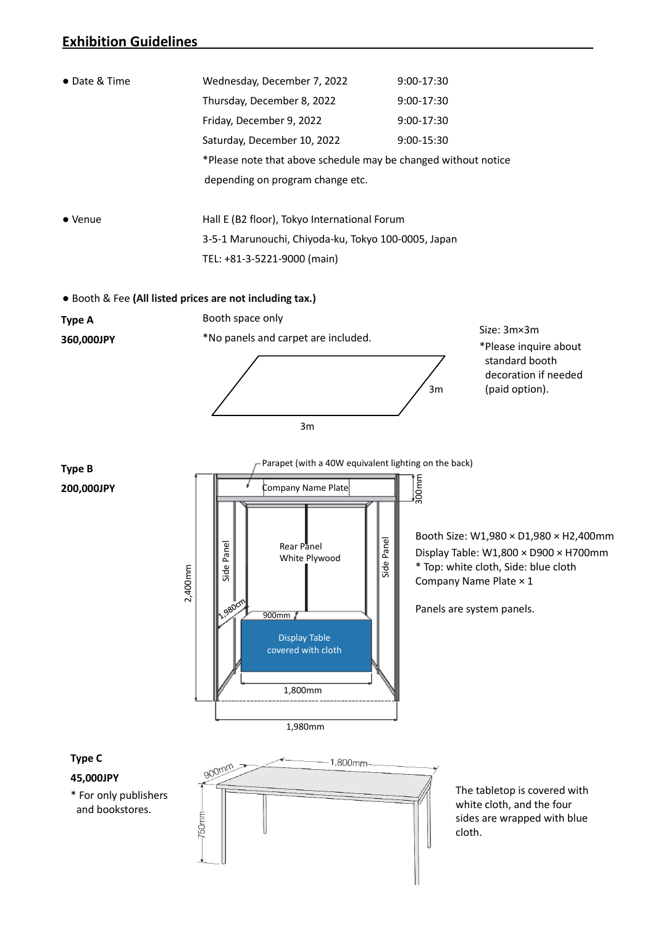### **Exhibition Guidelines**

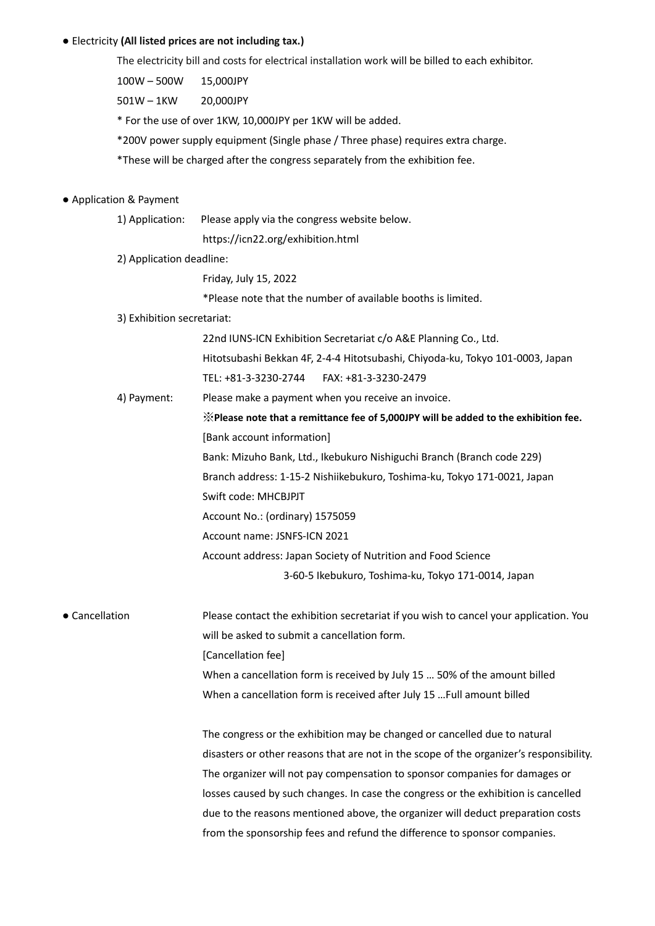#### ● Electricity **(All listed prices are not including tax.)**

The electricity bill and costs for electrical installation work will be billed to each exhibitor.

100W – 500W 15,000JPY

501W – 1KW 20,000JPY

\* For the use of over 1KW, 10,000JPY per 1KW will be added.

\*200V power supply equipment (Single phase / Three phase) requires extra charge.

\*These will be charged after the congress separately from the exhibition fee.

#### ● Application & Payment

1) Application: Please apply via the congress website below.

https://icn22.org/exhibition.html

2) Application deadline:

Friday, July 15, 2022

\*Please note that the number of available booths is limited.

3) Exhibition secretariat:

22nd IUNS-ICN Exhibition Secretariat c/o A&E Planning Co., Ltd. Hitotsubashi Bekkan 4F, 2-4-4 Hitotsubashi, Chiyoda-ku, Tokyo 101-0003, Japan

TEL: +81-3-3230-2744 FAX: +81-3-3230-2479

4) Payment: Please make a payment when you receive an invoice.

※**Please note that a remittance fee of 5,000JPY will be added to the exhibition fee.**  [Bank account information] Bank: Mizuho Bank, Ltd., Ikebukuro Nishiguchi Branch (Branch code 229) Branch address: 1-15-2 Nishiikebukuro, Toshima-ku, Tokyo 171-0021, Japan Swift code: MHCBJPJT Account No.: (ordinary) 1575059 Account name: JSNFS-ICN 2021 Account address: Japan Society of Nutrition and Food Science

3-60-5 Ikebukuro, Toshima-ku, Tokyo 171-0014, Japan

● Cancellation Please contact the exhibition secretariat if you wish to cancel your application. You will be asked to submit a cancellation form. [Cancellation fee]

> When a cancellation form is received by July 15 … 50% of the amount billed When a cancellation form is received after July 15 …Full amount billed

The congress or the exhibition may be changed or cancelled due to natural disasters or other reasons that are not in the scope of the organizer's responsibility. The organizer will not pay compensation to sponsor companies for damages or losses caused by such changes. In case the congress or the exhibition is cancelled due to the reasons mentioned above, the organizer will deduct preparation costs from the sponsorship fees and refund the difference to sponsor companies.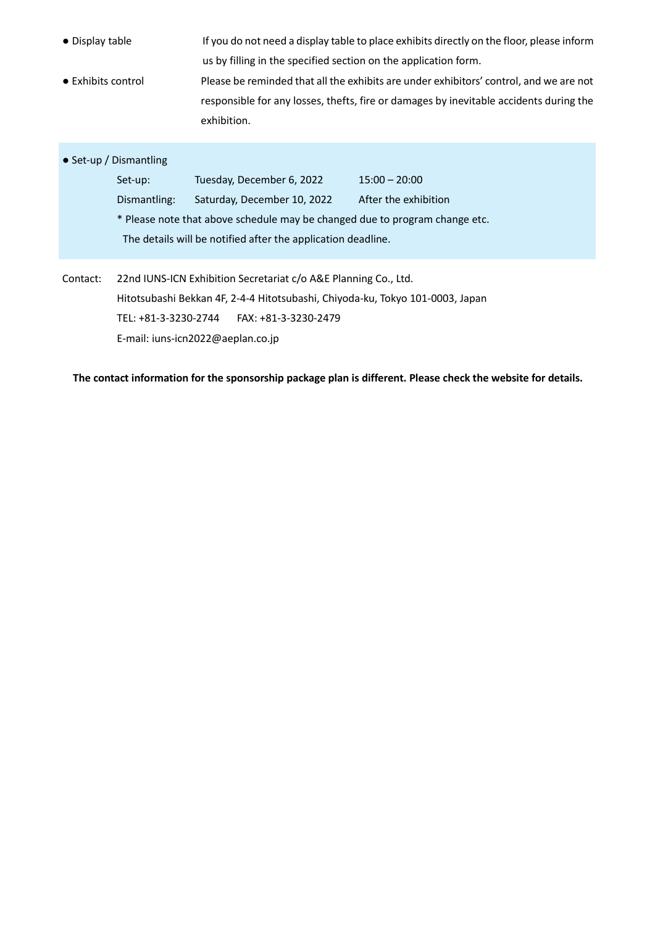| • Display table    |                                                                                                                                                  | us by filling in the specified section on the application form.             | If you do not need a display table to place exhibits directly on the floor, please inform                                                                                        |  |  |  |
|--------------------|--------------------------------------------------------------------------------------------------------------------------------------------------|-----------------------------------------------------------------------------|----------------------------------------------------------------------------------------------------------------------------------------------------------------------------------|--|--|--|
| • Exhibits control |                                                                                                                                                  | exhibition.                                                                 | Please be reminded that all the exhibits are under exhibitors' control, and we are not<br>responsible for any losses, thefts, fire or damages by inevitable accidents during the |  |  |  |
|                    | • Set-up / Dismantling                                                                                                                           |                                                                             |                                                                                                                                                                                  |  |  |  |
|                    | Set-up:                                                                                                                                          | Tuesday, December 6, 2022                                                   | $15:00 - 20:00$                                                                                                                                                                  |  |  |  |
|                    | Dismantling:                                                                                                                                     | Saturday, December 10, 2022                                                 | After the exhibition                                                                                                                                                             |  |  |  |
|                    |                                                                                                                                                  | * Please note that above schedule may be changed due to program change etc. |                                                                                                                                                                                  |  |  |  |
|                    |                                                                                                                                                  | The details will be notified after the application deadline.                |                                                                                                                                                                                  |  |  |  |
| Contact:           | 22nd IUNS-ICN Exhibition Secretariat c/o A&E Planning Co., Ltd.<br>Hitotsubashi Bekkan 4F, 2-4-4 Hitotsubashi, Chiyoda-ku, Tokyo 101-0003, Japan |                                                                             |                                                                                                                                                                                  |  |  |  |
|                    |                                                                                                                                                  |                                                                             |                                                                                                                                                                                  |  |  |  |
|                    | TEL: +81-3-3230-2744<br>FAX: +81-3-3230-2479                                                                                                     |                                                                             |                                                                                                                                                                                  |  |  |  |
|                    |                                                                                                                                                  | E-mail: iuns-icn2022@aeplan.co.jp                                           |                                                                                                                                                                                  |  |  |  |

**The contact information for the sponsorship package plan is different. Please check the website for details.**